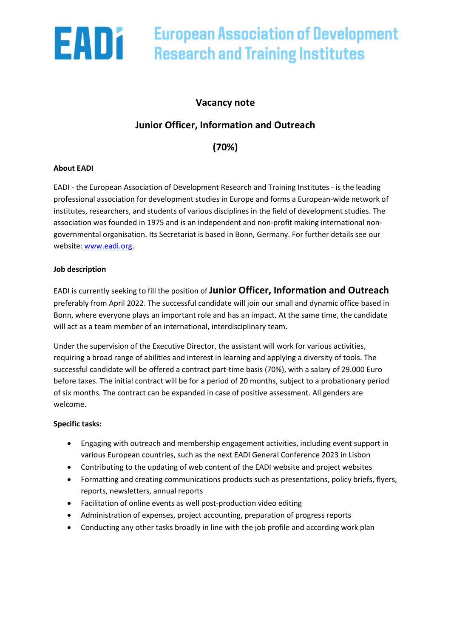

# **European Association of Development Research and Training Institutes**

### Vacancy note

## Junior Officer, Information and Outreach

(70%)

#### About EADI

EADI - the European Association of Development Research and Training Institutes - is the leading professional association for development studies in Europe and forms a European-wide network of institutes, researchers, and students of various disciplines in the field of development studies. The association was founded in 1975 and is an independent and non-profit making international nongovernmental organisation. Its Secretariat is based in Bonn, Germany. For further details see our website: www.eadi.org.

#### Job description

EADI is currently seeking to fill the position of Junior Officer, Information and Outreach preferably from April 2022. The successful candidate will join our small and dynamic office based in Bonn, where everyone plays an important role and has an impact. At the same time, the candidate will act as a team member of an international, interdisciplinary team.

Under the supervision of the Executive Director, the assistant will work for various activities, requiring a broad range of abilities and interest in learning and applying a diversity of tools. The successful candidate will be offered a contract part-time basis (70%), with a salary of 29.000 Euro before taxes. The initial contract will be for a period of 20 months, subject to a probationary period of six months. The contract can be expanded in case of positive assessment. All genders are welcome.

#### Specific tasks:

- Engaging with outreach and membership engagement activities, including event support in various European countries, such as the next EADI General Conference 2023 in Lisbon
- Contributing to the updating of web content of the EADI website and project websites
- Formatting and creating communications products such as presentations, policy briefs, flyers, reports, newsletters, annual reports
- Facilitation of online events as well post-production video editing
- Administration of expenses, project accounting, preparation of progress reports
- Conducting any other tasks broadly in line with the job profile and according work plan